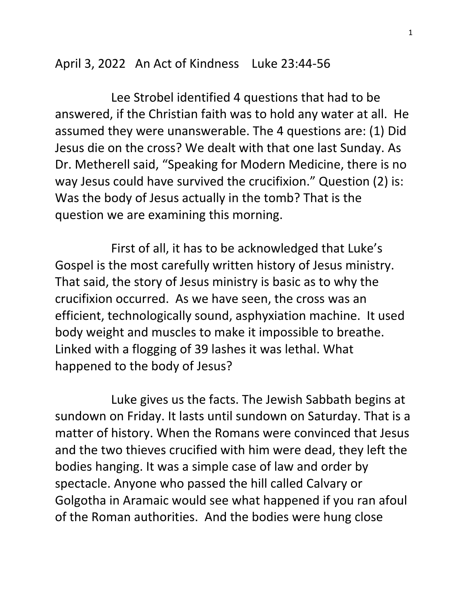April 3, 2022 An Act of Kindness Luke 23:44-56

 Lee Strobel identified 4 questions that had to be answered, if the Christian faith was to hold any water at all. He assumed they were unanswerable. The 4 questions are: (1) Did Jesus die on the cross? We dealt with that one last Sunday. As Dr. Metherell said, "Speaking for Modern Medicine, there is no way Jesus could have survived the crucifixion." Question (2) is: Was the body of Jesus actually in the tomb? That is the question we are examining this morning.

 First of all, it has to be acknowledged that Luke's Gospel is the most carefully written history of Jesus ministry. That said, the story of Jesus ministry is basic as to why the crucifixion occurred. As we have seen, the cross was an efficient, technologically sound, asphyxiation machine. It used body weight and muscles to make it impossible to breathe. Linked with a flogging of 39 lashes it was lethal. What happened to the body of Jesus?

 Luke gives us the facts. The Jewish Sabbath begins at sundown on Friday. It lasts until sundown on Saturday. That is a matter of history. When the Romans were convinced that Jesus and the two thieves crucified with him were dead, they left the bodies hanging. It was a simple case of law and order by spectacle. Anyone who passed the hill called Calvary or Golgotha in Aramaic would see what happened if you ran afoul of the Roman authorities. And the bodies were hung close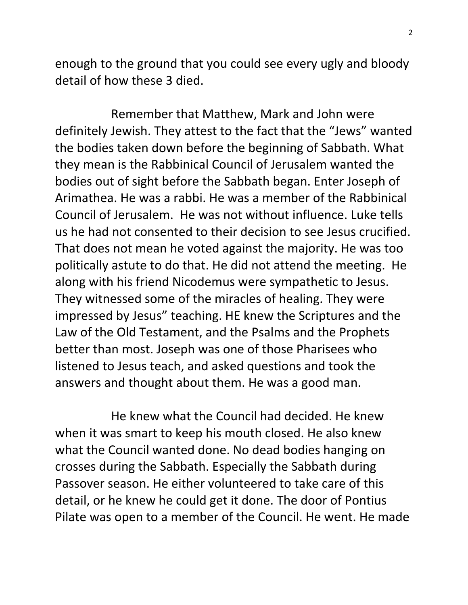enough to the ground that you could see every ugly and bloody detail of how these 3 died.

 Remember that Matthew, Mark and John were definitely Jewish. They attest to the fact that the "Jews" wanted the bodies taken down before the beginning of Sabbath. What they mean is the Rabbinical Council of Jerusalem wanted the bodies out of sight before the Sabbath began. Enter Joseph of Arimathea. He was a rabbi. He was a member of the Rabbinical Council of Jerusalem. He was not without influence. Luke tells us he had not consented to their decision to see Jesus crucified. That does not mean he voted against the majority. He was too politically astute to do that. He did not attend the meeting. He along with his friend Nicodemus were sympathetic to Jesus. They witnessed some of the miracles of healing. They were impressed by Jesus" teaching. HE knew the Scriptures and the Law of the Old Testament, and the Psalms and the Prophets better than most. Joseph was one of those Pharisees who listened to Jesus teach, and asked questions and took the answers and thought about them. He was a good man.

 He knew what the Council had decided. He knew when it was smart to keep his mouth closed. He also knew what the Council wanted done. No dead bodies hanging on crosses during the Sabbath. Especially the Sabbath during Passover season. He either volunteered to take care of this detail, or he knew he could get it done. The door of Pontius Pilate was open to a member of the Council. He went. He made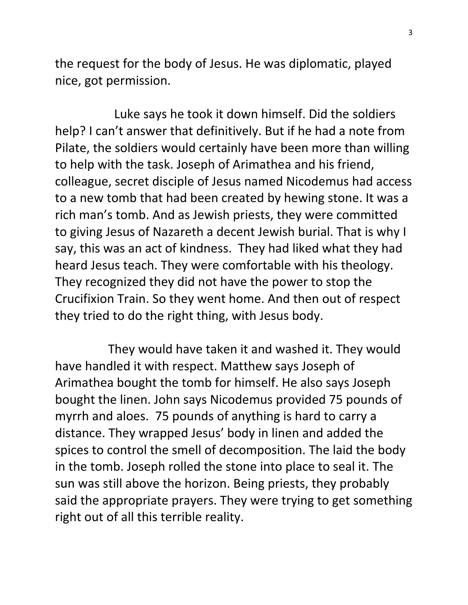the request for the body of Jesus. He was diplomatic, played nice, got permission.

 Luke says he took it down himself. Did the soldiers help? I can't answer that definitively. But if he had a note from Pilate, the soldiers would certainly have been more than willing to help with the task. Joseph of Arimathea and his friend, colleague, secret disciple of Jesus named Nicodemus had access to a new tomb that had been created by hewing stone. It was a rich man's tomb. And as Jewish priests, they were committed to giving Jesus of Nazareth a decent Jewish burial. That is why I say, this was an act of kindness. They had liked what they had heard Jesus teach. They were comfortable with his theology. They recognized they did not have the power to stop the Crucifixion Train. So they went home. And then out of respect they tried to do the right thing, with Jesus body.

 They would have taken it and washed it. They would have handled it with respect. Matthew says Joseph of Arimathea bought the tomb for himself. He also says Joseph bought the linen. John says Nicodemus provided 75 pounds of myrrh and aloes. 75 pounds of anything is hard to carry a distance. They wrapped Jesus' body in linen and added the spices to control the smell of decomposition. The laid the body in the tomb. Joseph rolled the stone into place to seal it. The sun was still above the horizon. Being priests, they probably said the appropriate prayers. They were trying to get something right out of all this terrible reality.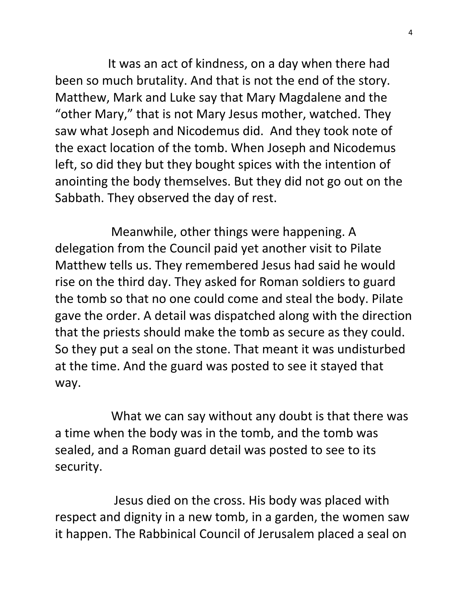It was an act of kindness, on a day when there had been so much brutality. And that is not the end of the story. Matthew, Mark and Luke say that Mary Magdalene and the "other Mary," that is not Mary Jesus mother, watched. They saw what Joseph and Nicodemus did. And they took note of the exact location of the tomb. When Joseph and Nicodemus left, so did they but they bought spices with the intention of anointing the body themselves. But they did not go out on the Sabbath. They observed the day of rest.

 Meanwhile, other things were happening. A delegation from the Council paid yet another visit to Pilate Matthew tells us. They remembered Jesus had said he would rise on the third day. They asked for Roman soldiers to guard the tomb so that no one could come and steal the body. Pilate gave the order. A detail was dispatched along with the direction that the priests should make the tomb as secure as they could. So they put a seal on the stone. That meant it was undisturbed at the time. And the guard was posted to see it stayed that way.

 What we can say without any doubt is that there was a time when the body was in the tomb, and the tomb was sealed, and a Roman guard detail was posted to see to its security.

 Jesus died on the cross. His body was placed with respect and dignity in a new tomb, in a garden, the women saw it happen. The Rabbinical Council of Jerusalem placed a seal on